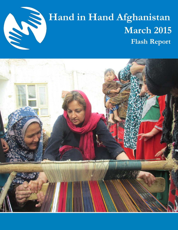

# Hand in Hand Afghanistan<br>March 2015  **March 2015 Flash Report**

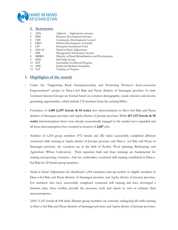

#### **1. Acronyms**:

| AFN         |                                                  |
|-------------|--------------------------------------------------|
|             | Afghanis - Afghanistan currency                  |
| <b>BDS</b>  | <b>Business Development Services</b>             |
| CDC.        | Community Development Council                    |
| DDA         | District Development Assembly                    |
| EIF         | Enterprise Incubation Fund                       |
| HiH-Af      | Hand in Hand-Afghanistan                         |
| MIS         | Management Information System                    |
| <b>MRRD</b> | Ministry of Rural Rehabilitation and Development |
| SHG         | Self Help Group                                  |
| <b>SLP</b>  | Sustainable Livelihood Program                   |
| <b>SME</b>  | Small and Medium Enterprise                      |
| $12$ ToT    | Training of Trainers                             |
|             |                                                  |

## **1. Highlights of the month**

- Under the "Supporting Rural Entrepreneurship and Promoting Women's Socio-economic Empowerment" project in Dara-e-Suf Bala and Payan districts of Samangan province 16 male Comment Interest Groups are formed based on common demographic, social cohesion and income generating opportunities, which include 178 members from the existing SHGs.
- Formation of **1,480 (1,397 female & 83 male)** new microenterprise in Dar-e-Suf Bala and Payan districts of Samangan province and Aqcha district of Jawzjan province. While **467 (371 female & 96 male)** microenterprises those were already economically engaged in the market have expanded and all these microenterprises have resulted in creation of **2,687** jobs.
- Number of 1,254 group members (972 female and 282 male) successfully completed different vocational skills training in Aqcha district of Jawzjan province and Dare-e- suf Bala and Payan of Samangan province, the vocations are in the field of Poultry, Wool spinning, Beekeeping, and Agriculture (Wheat Cultivation). Their capacities built and these trainings are fundamental for starting and growing a business. And two embroidery vocational skill training established in Dara-e-Suf Bala for 20 female group members.
- Hand in Hand Afghanistan has distributed 1,254 enterprise start-up toolkits to eligible members in Dara-e-Suf Bala and Payan districts of Samangan province and Aqcha district of Jawzjan province. For members who have successfully completed vocational skill training and have developed a business plan, these toolkits provide the necessary tools and inputs to start or enhance their microenterprises.
- 2,001 (1,163 female & 838 male) illiterate group members are currently undergoing life skills training in Dare-e-Suf Bala and Payan districts of Samangan province and Aqcha district of Jawzjan province.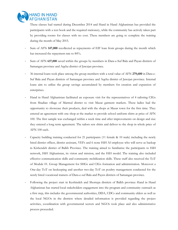

These classes had started during December 2014 and Hand in Hand Afghanistan has provided the participants with a text book and the required stationery, while the community has actively taken part by providing rooms for classes with no cost. These members are going to complete the training during the month of May 2015.

- Sum of AFN **147,000** recollected as repayments of EIF loan from groups during the month which has increased the repayment rate to 84%**.**
- Sum of AFN **637,000** saved within the groups by members in Dara-e-Suf Bala and Payan districts of Samangan province and Aqcha district of Jawzjan province.
- 36 internal loans took place among the group members with a total value of AFN **279,600** in Dara-e-Suf Bala and Payan districts of Samangan province and Aqcha district of Jawzjan province. Internal loans aim to utilize the group savings accumulated by members for creation and expansion of enterprises.
- Hand in Hand Afghanistan facilitated an exposure visit for the representatives of 4 tailoring CIGs from Shadian village of Marmul district to visit Mazar garment markets. These ladies had the opportunity to showcase their products, deal with the shops at Mazar town for the first time. They entered an agreement with one shop at the market to provide school uniform shirts at price of AFN 100. The first sample was exchanged within a week time and after improvements on design and size they entered a long term agreement. The tailors sew shirts and deliver to the shop in whole price of AFN 100 each.
- Capacity building training conducted for 21 participants (11 female & 10 male) including the newly hired district officer, district assistant, VEFs and 6 none HiH Af employee who will serve as backup in Kishendeh district of Balkh Province. The training aimed to familiarize the participants to HiH network, HiH Afghanistan, its vision and mission, and the HiH model. The training also included effective communication skills and community mobilization skills. These staff also received the ToT of Module 01. Group Management for SHGs and CIGs formation and administration. Moreover a One-day ToT on beekeeping and another two-day ToT on poultry management conducted for the newly hired vocational trainers of Dara-e-suf Bala and Payen districts of Samangan province.
- Following the project start in Keshindeh and Shortepa districts of Balkh province Hand in Hand Afghanistan has started local stakeholders engagement into the program and community outreach as a first step, this includes the governmental authorities, DDA, CDCs and community elders as well as the local NGOs in the districts where detailed information is provided regarding the project activities, coordination with governmental sectors and NGOs took place and also administrative process proceeded.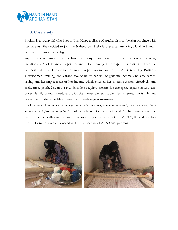

## **3. Case Study:**

Shokria is a young girl who lives in Bori Khawja village of Aqcha district, Jawzjan province with her parents. She decided to join the Naheed Self Help Group after attending Hand in Hand's outreach forums in her village.

Aqcha is very famous for its handmade carpet and lots of women do carpet weaving traditionally. Shokria knew carpet weaving before joining the group, but she did not have the business skill and knowledge to make proper income out of it. After receiving Business Development training, she learned how to utilize her skill to generate income. She also learned saving and keeping records of her income which enabled her to run business effectively and make more profit. She now saves from her acquired income for enterprise expansion and also covers family primary needs and with the money she earns, she also supports the family and covers her mother's health expenses who needs regular treatment.

Shokria says *"I learnt how to manage my activities and time, and work confidently and save money for a sustainable enterprise in the future".* Shokria is linked to the vendors at Aqcha town where she receives orders with raw materials. She weaves per meter carpet for AFN 2,000 and she has moved from less than a thousand AFN to an income of AFN 6,000 per month.

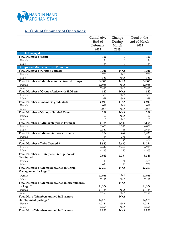

## **4. Table of Summary of Operations:**

| End of<br>During<br>end of March<br>March<br>2015<br>February<br>2015<br>2015<br><b>People Engaged</b><br><b>Total Number of Staff:</b><br>160<br><b>160</b><br>0<br>- Female<br>76<br>$\theta$<br>76<br>- Male<br>84<br>0<br>84<br><b>Groups and Microenterprise Promotion</b><br><b>Total Number of Groups Formed:</b><br>N/A<br>1,316<br>1,316<br>- Female<br>N/A<br>760<br>760<br>- Male<br>556<br>N/A<br>556<br><b>Total Number of Members in the formed Groups:</b><br>22,371<br>N/A<br>22,371<br>- Female<br>12,955<br>N/A<br>12,955<br>- Male<br>N/A<br>9,416<br>9,416<br>Total Number of Groups Active with HiH-Af:i<br>882<br>N/A<br>882<br>- Female<br>553<br>N/A<br>553<br>- Male<br>329<br>N/A<br>329<br>5,043<br>5,043<br>Total Number of members graduated:<br>N/A<br>- Female<br>2,018<br>N/A<br>2,018<br>- Male<br>3,025<br>N/A<br>3,025<br><b>Total Number of Groups Handed Over:</b><br>209<br>N/A<br>209<br>- Female<br>N/A<br>122<br>122<br>- Male<br>N/A<br>87<br>87<br><b>Total Number of Microenterprises Formed:</b><br>5,184<br>6,664<br>1,480<br>- Female<br>2,653<br>1,397<br>4,050<br>- Male<br>2,531<br>83<br>2,614<br>Total Number of Microenterprises expanded:<br>772<br>467<br>1,239<br>- Female<br>371<br>815<br>444<br>- Male<br>328<br>96<br>424<br>Total Number of Jobs Created:ii<br>8,587<br>2,687<br>11,274<br>- Female<br>6,911<br>4,444<br>2,467<br>- Male<br>4,143<br>4,363<br>220<br><b>Total Number of Enterprise Startup toolkits</b><br>2,089<br>1,254<br>3,343<br>distributed<br>- Female<br>1,171<br>2584<br>1,413<br>$\overline{676}$<br>- Male<br>759<br>83<br>N/A<br><b>Total Number of Members trained in Group</b><br>22,371<br>22,371<br>Management Package:iii<br>- Female<br>N/A<br>12,955<br>12,955<br>N/A<br>9,416<br>9,416<br>- Male<br><b>Total Number of Members trained in Microfinance</b><br>N/A<br>package:iv<br>18,324<br>18,324<br>N/A<br>- Female<br>11,134<br>11,134<br>- Male<br>N/A<br>7,190<br>7,190<br>Total No. of Members trained in Business<br>N/A<br>Development package:v<br>17,579<br>17,579<br>- Female<br>N/A<br>1,0881<br>1,0881<br>- Male<br>N/A<br>6,698<br>6,698 |                                          | Cumulative | Change | Total at the |
|----------------------------------------------------------------------------------------------------------------------------------------------------------------------------------------------------------------------------------------------------------------------------------------------------------------------------------------------------------------------------------------------------------------------------------------------------------------------------------------------------------------------------------------------------------------------------------------------------------------------------------------------------------------------------------------------------------------------------------------------------------------------------------------------------------------------------------------------------------------------------------------------------------------------------------------------------------------------------------------------------------------------------------------------------------------------------------------------------------------------------------------------------------------------------------------------------------------------------------------------------------------------------------------------------------------------------------------------------------------------------------------------------------------------------------------------------------------------------------------------------------------------------------------------------------------------------------------------------------------------------------------------------------------------------------------------------------------------------------------------------------------------------------------------------------------------------------------------------------------------------------------------------------------------------------------------------------------------------------------------------------------------------------------------------------------------------------------------------------------------------------------------------------|------------------------------------------|------------|--------|--------------|
|                                                                                                                                                                                                                                                                                                                                                                                                                                                                                                                                                                                                                                                                                                                                                                                                                                                                                                                                                                                                                                                                                                                                                                                                                                                                                                                                                                                                                                                                                                                                                                                                                                                                                                                                                                                                                                                                                                                                                                                                                                                                                                                                                          |                                          |            |        |              |
|                                                                                                                                                                                                                                                                                                                                                                                                                                                                                                                                                                                                                                                                                                                                                                                                                                                                                                                                                                                                                                                                                                                                                                                                                                                                                                                                                                                                                                                                                                                                                                                                                                                                                                                                                                                                                                                                                                                                                                                                                                                                                                                                                          |                                          |            |        |              |
|                                                                                                                                                                                                                                                                                                                                                                                                                                                                                                                                                                                                                                                                                                                                                                                                                                                                                                                                                                                                                                                                                                                                                                                                                                                                                                                                                                                                                                                                                                                                                                                                                                                                                                                                                                                                                                                                                                                                                                                                                                                                                                                                                          |                                          |            |        |              |
|                                                                                                                                                                                                                                                                                                                                                                                                                                                                                                                                                                                                                                                                                                                                                                                                                                                                                                                                                                                                                                                                                                                                                                                                                                                                                                                                                                                                                                                                                                                                                                                                                                                                                                                                                                                                                                                                                                                                                                                                                                                                                                                                                          |                                          |            |        |              |
|                                                                                                                                                                                                                                                                                                                                                                                                                                                                                                                                                                                                                                                                                                                                                                                                                                                                                                                                                                                                                                                                                                                                                                                                                                                                                                                                                                                                                                                                                                                                                                                                                                                                                                                                                                                                                                                                                                                                                                                                                                                                                                                                                          |                                          |            |        |              |
|                                                                                                                                                                                                                                                                                                                                                                                                                                                                                                                                                                                                                                                                                                                                                                                                                                                                                                                                                                                                                                                                                                                                                                                                                                                                                                                                                                                                                                                                                                                                                                                                                                                                                                                                                                                                                                                                                                                                                                                                                                                                                                                                                          |                                          |            |        |              |
|                                                                                                                                                                                                                                                                                                                                                                                                                                                                                                                                                                                                                                                                                                                                                                                                                                                                                                                                                                                                                                                                                                                                                                                                                                                                                                                                                                                                                                                                                                                                                                                                                                                                                                                                                                                                                                                                                                                                                                                                                                                                                                                                                          |                                          |            |        |              |
|                                                                                                                                                                                                                                                                                                                                                                                                                                                                                                                                                                                                                                                                                                                                                                                                                                                                                                                                                                                                                                                                                                                                                                                                                                                                                                                                                                                                                                                                                                                                                                                                                                                                                                                                                                                                                                                                                                                                                                                                                                                                                                                                                          |                                          |            |        |              |
|                                                                                                                                                                                                                                                                                                                                                                                                                                                                                                                                                                                                                                                                                                                                                                                                                                                                                                                                                                                                                                                                                                                                                                                                                                                                                                                                                                                                                                                                                                                                                                                                                                                                                                                                                                                                                                                                                                                                                                                                                                                                                                                                                          |                                          |            |        |              |
|                                                                                                                                                                                                                                                                                                                                                                                                                                                                                                                                                                                                                                                                                                                                                                                                                                                                                                                                                                                                                                                                                                                                                                                                                                                                                                                                                                                                                                                                                                                                                                                                                                                                                                                                                                                                                                                                                                                                                                                                                                                                                                                                                          |                                          |            |        |              |
|                                                                                                                                                                                                                                                                                                                                                                                                                                                                                                                                                                                                                                                                                                                                                                                                                                                                                                                                                                                                                                                                                                                                                                                                                                                                                                                                                                                                                                                                                                                                                                                                                                                                                                                                                                                                                                                                                                                                                                                                                                                                                                                                                          |                                          |            |        |              |
|                                                                                                                                                                                                                                                                                                                                                                                                                                                                                                                                                                                                                                                                                                                                                                                                                                                                                                                                                                                                                                                                                                                                                                                                                                                                                                                                                                                                                                                                                                                                                                                                                                                                                                                                                                                                                                                                                                                                                                                                                                                                                                                                                          |                                          |            |        |              |
|                                                                                                                                                                                                                                                                                                                                                                                                                                                                                                                                                                                                                                                                                                                                                                                                                                                                                                                                                                                                                                                                                                                                                                                                                                                                                                                                                                                                                                                                                                                                                                                                                                                                                                                                                                                                                                                                                                                                                                                                                                                                                                                                                          |                                          |            |        |              |
|                                                                                                                                                                                                                                                                                                                                                                                                                                                                                                                                                                                                                                                                                                                                                                                                                                                                                                                                                                                                                                                                                                                                                                                                                                                                                                                                                                                                                                                                                                                                                                                                                                                                                                                                                                                                                                                                                                                                                                                                                                                                                                                                                          |                                          |            |        |              |
|                                                                                                                                                                                                                                                                                                                                                                                                                                                                                                                                                                                                                                                                                                                                                                                                                                                                                                                                                                                                                                                                                                                                                                                                                                                                                                                                                                                                                                                                                                                                                                                                                                                                                                                                                                                                                                                                                                                                                                                                                                                                                                                                                          |                                          |            |        |              |
|                                                                                                                                                                                                                                                                                                                                                                                                                                                                                                                                                                                                                                                                                                                                                                                                                                                                                                                                                                                                                                                                                                                                                                                                                                                                                                                                                                                                                                                                                                                                                                                                                                                                                                                                                                                                                                                                                                                                                                                                                                                                                                                                                          |                                          |            |        |              |
|                                                                                                                                                                                                                                                                                                                                                                                                                                                                                                                                                                                                                                                                                                                                                                                                                                                                                                                                                                                                                                                                                                                                                                                                                                                                                                                                                                                                                                                                                                                                                                                                                                                                                                                                                                                                                                                                                                                                                                                                                                                                                                                                                          |                                          |            |        |              |
|                                                                                                                                                                                                                                                                                                                                                                                                                                                                                                                                                                                                                                                                                                                                                                                                                                                                                                                                                                                                                                                                                                                                                                                                                                                                                                                                                                                                                                                                                                                                                                                                                                                                                                                                                                                                                                                                                                                                                                                                                                                                                                                                                          |                                          |            |        |              |
|                                                                                                                                                                                                                                                                                                                                                                                                                                                                                                                                                                                                                                                                                                                                                                                                                                                                                                                                                                                                                                                                                                                                                                                                                                                                                                                                                                                                                                                                                                                                                                                                                                                                                                                                                                                                                                                                                                                                                                                                                                                                                                                                                          |                                          |            |        |              |
|                                                                                                                                                                                                                                                                                                                                                                                                                                                                                                                                                                                                                                                                                                                                                                                                                                                                                                                                                                                                                                                                                                                                                                                                                                                                                                                                                                                                                                                                                                                                                                                                                                                                                                                                                                                                                                                                                                                                                                                                                                                                                                                                                          |                                          |            |        |              |
|                                                                                                                                                                                                                                                                                                                                                                                                                                                                                                                                                                                                                                                                                                                                                                                                                                                                                                                                                                                                                                                                                                                                                                                                                                                                                                                                                                                                                                                                                                                                                                                                                                                                                                                                                                                                                                                                                                                                                                                                                                                                                                                                                          |                                          |            |        |              |
|                                                                                                                                                                                                                                                                                                                                                                                                                                                                                                                                                                                                                                                                                                                                                                                                                                                                                                                                                                                                                                                                                                                                                                                                                                                                                                                                                                                                                                                                                                                                                                                                                                                                                                                                                                                                                                                                                                                                                                                                                                                                                                                                                          |                                          |            |        |              |
|                                                                                                                                                                                                                                                                                                                                                                                                                                                                                                                                                                                                                                                                                                                                                                                                                                                                                                                                                                                                                                                                                                                                                                                                                                                                                                                                                                                                                                                                                                                                                                                                                                                                                                                                                                                                                                                                                                                                                                                                                                                                                                                                                          |                                          |            |        |              |
|                                                                                                                                                                                                                                                                                                                                                                                                                                                                                                                                                                                                                                                                                                                                                                                                                                                                                                                                                                                                                                                                                                                                                                                                                                                                                                                                                                                                                                                                                                                                                                                                                                                                                                                                                                                                                                                                                                                                                                                                                                                                                                                                                          |                                          |            |        |              |
|                                                                                                                                                                                                                                                                                                                                                                                                                                                                                                                                                                                                                                                                                                                                                                                                                                                                                                                                                                                                                                                                                                                                                                                                                                                                                                                                                                                                                                                                                                                                                                                                                                                                                                                                                                                                                                                                                                                                                                                                                                                                                                                                                          |                                          |            |        |              |
|                                                                                                                                                                                                                                                                                                                                                                                                                                                                                                                                                                                                                                                                                                                                                                                                                                                                                                                                                                                                                                                                                                                                                                                                                                                                                                                                                                                                                                                                                                                                                                                                                                                                                                                                                                                                                                                                                                                                                                                                                                                                                                                                                          |                                          |            |        |              |
|                                                                                                                                                                                                                                                                                                                                                                                                                                                                                                                                                                                                                                                                                                                                                                                                                                                                                                                                                                                                                                                                                                                                                                                                                                                                                                                                                                                                                                                                                                                                                                                                                                                                                                                                                                                                                                                                                                                                                                                                                                                                                                                                                          |                                          |            |        |              |
|                                                                                                                                                                                                                                                                                                                                                                                                                                                                                                                                                                                                                                                                                                                                                                                                                                                                                                                                                                                                                                                                                                                                                                                                                                                                                                                                                                                                                                                                                                                                                                                                                                                                                                                                                                                                                                                                                                                                                                                                                                                                                                                                                          |                                          |            |        |              |
|                                                                                                                                                                                                                                                                                                                                                                                                                                                                                                                                                                                                                                                                                                                                                                                                                                                                                                                                                                                                                                                                                                                                                                                                                                                                                                                                                                                                                                                                                                                                                                                                                                                                                                                                                                                                                                                                                                                                                                                                                                                                                                                                                          |                                          |            |        |              |
|                                                                                                                                                                                                                                                                                                                                                                                                                                                                                                                                                                                                                                                                                                                                                                                                                                                                                                                                                                                                                                                                                                                                                                                                                                                                                                                                                                                                                                                                                                                                                                                                                                                                                                                                                                                                                                                                                                                                                                                                                                                                                                                                                          |                                          |            |        |              |
|                                                                                                                                                                                                                                                                                                                                                                                                                                                                                                                                                                                                                                                                                                                                                                                                                                                                                                                                                                                                                                                                                                                                                                                                                                                                                                                                                                                                                                                                                                                                                                                                                                                                                                                                                                                                                                                                                                                                                                                                                                                                                                                                                          |                                          |            |        |              |
|                                                                                                                                                                                                                                                                                                                                                                                                                                                                                                                                                                                                                                                                                                                                                                                                                                                                                                                                                                                                                                                                                                                                                                                                                                                                                                                                                                                                                                                                                                                                                                                                                                                                                                                                                                                                                                                                                                                                                                                                                                                                                                                                                          |                                          |            |        |              |
|                                                                                                                                                                                                                                                                                                                                                                                                                                                                                                                                                                                                                                                                                                                                                                                                                                                                                                                                                                                                                                                                                                                                                                                                                                                                                                                                                                                                                                                                                                                                                                                                                                                                                                                                                                                                                                                                                                                                                                                                                                                                                                                                                          |                                          |            |        |              |
|                                                                                                                                                                                                                                                                                                                                                                                                                                                                                                                                                                                                                                                                                                                                                                                                                                                                                                                                                                                                                                                                                                                                                                                                                                                                                                                                                                                                                                                                                                                                                                                                                                                                                                                                                                                                                                                                                                                                                                                                                                                                                                                                                          |                                          |            |        |              |
|                                                                                                                                                                                                                                                                                                                                                                                                                                                                                                                                                                                                                                                                                                                                                                                                                                                                                                                                                                                                                                                                                                                                                                                                                                                                                                                                                                                                                                                                                                                                                                                                                                                                                                                                                                                                                                                                                                                                                                                                                                                                                                                                                          |                                          |            |        |              |
|                                                                                                                                                                                                                                                                                                                                                                                                                                                                                                                                                                                                                                                                                                                                                                                                                                                                                                                                                                                                                                                                                                                                                                                                                                                                                                                                                                                                                                                                                                                                                                                                                                                                                                                                                                                                                                                                                                                                                                                                                                                                                                                                                          |                                          |            |        |              |
|                                                                                                                                                                                                                                                                                                                                                                                                                                                                                                                                                                                                                                                                                                                                                                                                                                                                                                                                                                                                                                                                                                                                                                                                                                                                                                                                                                                                                                                                                                                                                                                                                                                                                                                                                                                                                                                                                                                                                                                                                                                                                                                                                          |                                          |            |        |              |
|                                                                                                                                                                                                                                                                                                                                                                                                                                                                                                                                                                                                                                                                                                                                                                                                                                                                                                                                                                                                                                                                                                                                                                                                                                                                                                                                                                                                                                                                                                                                                                                                                                                                                                                                                                                                                                                                                                                                                                                                                                                                                                                                                          |                                          |            |        |              |
|                                                                                                                                                                                                                                                                                                                                                                                                                                                                                                                                                                                                                                                                                                                                                                                                                                                                                                                                                                                                                                                                                                                                                                                                                                                                                                                                                                                                                                                                                                                                                                                                                                                                                                                                                                                                                                                                                                                                                                                                                                                                                                                                                          |                                          |            |        |              |
|                                                                                                                                                                                                                                                                                                                                                                                                                                                                                                                                                                                                                                                                                                                                                                                                                                                                                                                                                                                                                                                                                                                                                                                                                                                                                                                                                                                                                                                                                                                                                                                                                                                                                                                                                                                                                                                                                                                                                                                                                                                                                                                                                          |                                          |            |        |              |
|                                                                                                                                                                                                                                                                                                                                                                                                                                                                                                                                                                                                                                                                                                                                                                                                                                                                                                                                                                                                                                                                                                                                                                                                                                                                                                                                                                                                                                                                                                                                                                                                                                                                                                                                                                                                                                                                                                                                                                                                                                                                                                                                                          |                                          |            |        |              |
|                                                                                                                                                                                                                                                                                                                                                                                                                                                                                                                                                                                                                                                                                                                                                                                                                                                                                                                                                                                                                                                                                                                                                                                                                                                                                                                                                                                                                                                                                                                                                                                                                                                                                                                                                                                                                                                                                                                                                                                                                                                                                                                                                          |                                          |            |        |              |
|                                                                                                                                                                                                                                                                                                                                                                                                                                                                                                                                                                                                                                                                                                                                                                                                                                                                                                                                                                                                                                                                                                                                                                                                                                                                                                                                                                                                                                                                                                                                                                                                                                                                                                                                                                                                                                                                                                                                                                                                                                                                                                                                                          |                                          |            |        |              |
|                                                                                                                                                                                                                                                                                                                                                                                                                                                                                                                                                                                                                                                                                                                                                                                                                                                                                                                                                                                                                                                                                                                                                                                                                                                                                                                                                                                                                                                                                                                                                                                                                                                                                                                                                                                                                                                                                                                                                                                                                                                                                                                                                          |                                          |            |        |              |
|                                                                                                                                                                                                                                                                                                                                                                                                                                                                                                                                                                                                                                                                                                                                                                                                                                                                                                                                                                                                                                                                                                                                                                                                                                                                                                                                                                                                                                                                                                                                                                                                                                                                                                                                                                                                                                                                                                                                                                                                                                                                                                                                                          |                                          |            |        |              |
|                                                                                                                                                                                                                                                                                                                                                                                                                                                                                                                                                                                                                                                                                                                                                                                                                                                                                                                                                                                                                                                                                                                                                                                                                                                                                                                                                                                                                                                                                                                                                                                                                                                                                                                                                                                                                                                                                                                                                                                                                                                                                                                                                          |                                          |            |        |              |
|                                                                                                                                                                                                                                                                                                                                                                                                                                                                                                                                                                                                                                                                                                                                                                                                                                                                                                                                                                                                                                                                                                                                                                                                                                                                                                                                                                                                                                                                                                                                                                                                                                                                                                                                                                                                                                                                                                                                                                                                                                                                                                                                                          |                                          |            |        |              |
|                                                                                                                                                                                                                                                                                                                                                                                                                                                                                                                                                                                                                                                                                                                                                                                                                                                                                                                                                                                                                                                                                                                                                                                                                                                                                                                                                                                                                                                                                                                                                                                                                                                                                                                                                                                                                                                                                                                                                                                                                                                                                                                                                          | Total No. of Members trained in Business | 2,500      | N/A    | 2,500        |